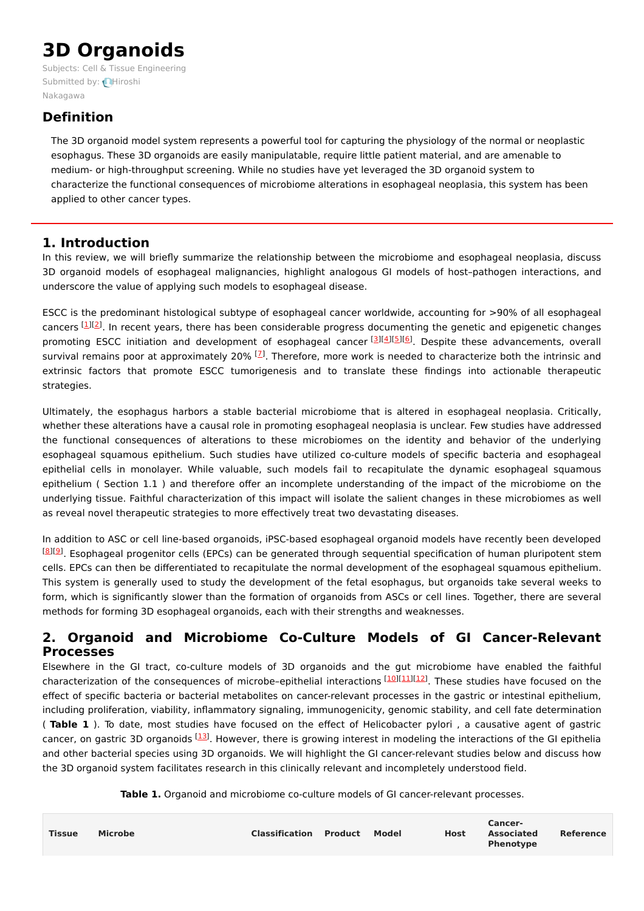# **3D Organoids**

Subjects: Cell & Tissue [Engineering](https://encyclopedia.pub/item/subject/196) Submitted by: Hiroshi [Nakagawa](https://sciprofiles.com/profile/1666426)

## **Definition**

The 3D organoid model system represents a powerful tool for capturing the physiology of the normal or neoplastic esophagus. These 3D organoids are easily manipulatable, require little patient material, and are amenable to medium- or high-throughput screening. While no studies have yet leveraged the 3D organoid system to characterize the functional consequences of microbiome alterations in esophageal neoplasia, this system has been applied to other cancer types.

## **1. Introduction**

In this review, we will briefly summarize the relationship between the microbiome and esophageal neoplasia, discuss 3D organoid models of esophageal malignancies, highlight analogous GI models of host–pathogen interactions, and underscore the value of applying such models to esophageal disease.

ESCC is the predominant histological subtype of esophageal cancer worldwide, accounting for >90% of all esophageal cancers [\[1](#page-5-0)][\[2](#page-5-1)]. In recent years, there has been considerable progress documenting the genetic and epigenetic changes promoting ESCC initiation and development of esophageal cancer [\[3](#page-5-2)][[4](#page-5-3)][\[5](#page-5-4)][\[6](#page-5-5)]. Despite these advancements, overall survival remains poor at approximately 20%  $^{[1]}$ . Therefore, more work is needed to characterize both the intrinsic and extrinsic factors that promote ESCC tumorigenesis and to translate these findings into actionable therapeutic strategies.

Ultimately, the esophagus harbors a stable bacterial microbiome that is altered in esophageal neoplasia. Critically, whether these alterations have a causal role in promoting esophageal neoplasia is unclear. Few studies have addressed the functional consequences of alterations to these microbiomes on the identity and behavior of the underlying esophageal squamous epithelium. Such studies have utilized co-culture models of specific bacteria and esophageal epithelial cells in monolayer. While valuable, such models fail to recapitulate the dynamic esophageal squamous epithelium ( Section 1.1 ) and therefore offer an incomplete understanding of the impact of the microbiome on the underlying tissue. Faithful characterization of this impact will isolate the salient changes in these microbiomes as well as reveal novel therapeutic strategies to more effectively treat two devastating diseases.

In addition to ASC or cell line-based organoids, iPSC-based esophageal organoid models have recently been developed [\[8](#page-5-7)][\[9](#page-5-8)]. Esophageal progenitor cells (EPCs) can be generated through sequential specification of human pluripotent stem cells. EPCs can then be differentiated to recapitulate the normal development of the esophageal squamous epithelium. This system is generally used to study the development of the fetal esophagus, but organoids take several weeks to form, which is significantly slower than the formation of organoids from ASCs or cell lines. Together, there are several methods for forming 3D esophageal organoids, each with their strengths and weaknesses.

## **2. Organoid and Microbiome Co-Culture Models of GI Cancer-Relevant Processes**

Elsewhere in the GI tract, co-culture models of 3D organoids and the gut microbiome have enabled the faithful characterization of the consequences of microbe-epithelial interactions [\[10](#page-5-9)][\[11](#page-5-10)][\[12](#page-5-11)]. These studies have focused on the effect of specific bacteria or bacterial metabolites on cancer-relevant processes in the gastric or intestinal epithelium, including proliferation, viability, inflammatory signaling, immunogenicity, genomic stability, and cell fate determination ( **Table 1** ). To date, most studies have focused on the effect of Helicobacter pylori , a causative agent of gastric cancer, on gastric 3D organoids [\[13](#page-5-12)]. However, there is growing interest in modeling the interactions of the GI epithelia and other bacterial species using 3D organoids. We will highlight the GI cancer-relevant studies below and discuss how the 3D organoid system facilitates research in this clinically relevant and incompletely understood field.

**Table 1.** Organoid and microbiome co-culture models of GI cancer-relevant processes.

| <b>Tissue</b> | <b>Microbe</b> | <b>Classification Product Model</b> |  |  | Host | Cancer-<br><b>Associated</b><br><b>Phenotype</b> | Reference |
|---------------|----------------|-------------------------------------|--|--|------|--------------------------------------------------|-----------|
|---------------|----------------|-------------------------------------|--|--|------|--------------------------------------------------|-----------|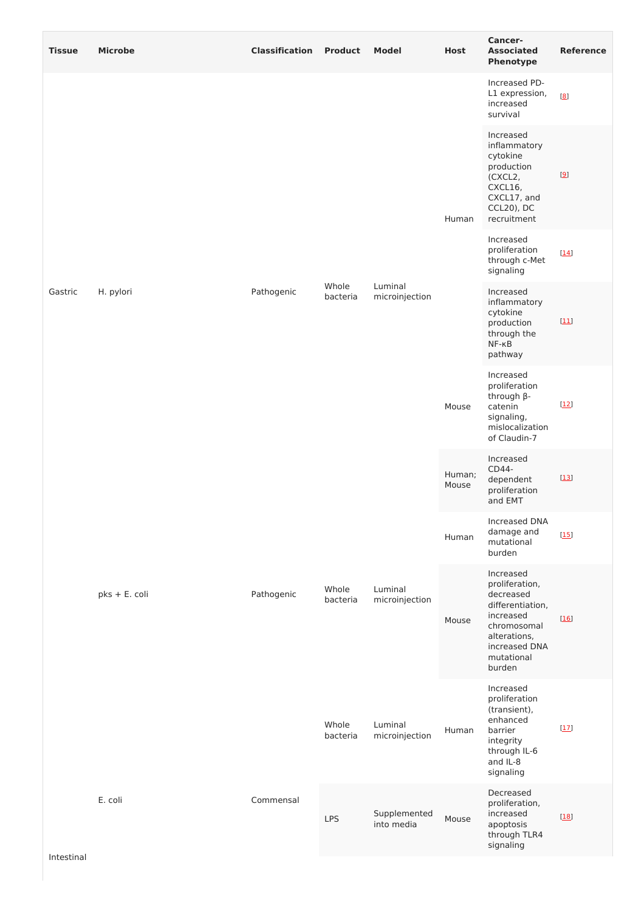| <b>Tissue</b> | <b>Microbe</b> | <b>Classification Product</b> |                   | <b>Model</b>               | <b>Host</b>     | Cancer-<br><b>Associated</b><br>Phenotype                                                                                                         | <b>Reference</b> |
|---------------|----------------|-------------------------------|-------------------|----------------------------|-----------------|---------------------------------------------------------------------------------------------------------------------------------------------------|------------------|
| Gastric       | H. pylori      | Pathogenic                    | Whole<br>bacteria | Luminal<br>microinjection  | Human           | Increased PD-<br>L1 expression,<br>increased<br>survival                                                                                          | [8]              |
|               |                |                               |                   |                            |                 | Increased<br>inflammatory<br>cytokine<br>production<br>(CXCL2,<br>CXCL16,<br>CXCL17, and<br>CCL20), DC<br>recruitment                             | [9]              |
|               |                |                               |                   |                            |                 | Increased<br>proliferation<br>through c-Met<br>signaling                                                                                          | $[14]$           |
|               |                |                               |                   |                            |                 | Increased<br>inflammatory<br>cytokine<br>production<br>through the<br>$NF-KB$<br>pathway                                                          | $[11]$           |
|               |                |                               |                   |                            | Mouse           | Increased<br>proliferation<br>through β-<br>catenin<br>signaling,<br>mislocalization<br>of Claudin-7                                              | $[12]$           |
|               | pks + E. coli  | Pathogenic                    | Whole<br>bacteria | Luminal<br>microinjection  | Human;<br>Mouse | Increased<br>CD44-<br>dependent<br>proliferation<br>and EMT                                                                                       | $[13]$           |
|               |                |                               |                   |                            | Human           | Increased DNA<br>damage and<br>mutational<br>burden                                                                                               | $[15]$           |
|               |                |                               |                   |                            | Mouse           | Increased<br>proliferation,<br>decreased<br>differentiation,<br>increased<br>chromosomal<br>alterations,<br>increased DNA<br>mutational<br>burden | $[16]$           |
|               |                |                               | Whole<br>bacteria | Luminal<br>microinjection  | Human           | Increased<br>proliferation<br>(transient),<br>enhanced<br>barrier<br>integrity<br>through IL-6<br>and IL-8<br>signaling                           | $[17]$           |
|               | E. coli        | Commensal                     | <b>LPS</b>        | Supplemented<br>into media | Mouse           | Decreased<br>proliferation,<br>increased<br>apoptosis<br>through TLR4<br>signaling                                                                | $[18]$           |
| Intestinal    |                |                               |                   |                            |                 |                                                                                                                                                   |                  |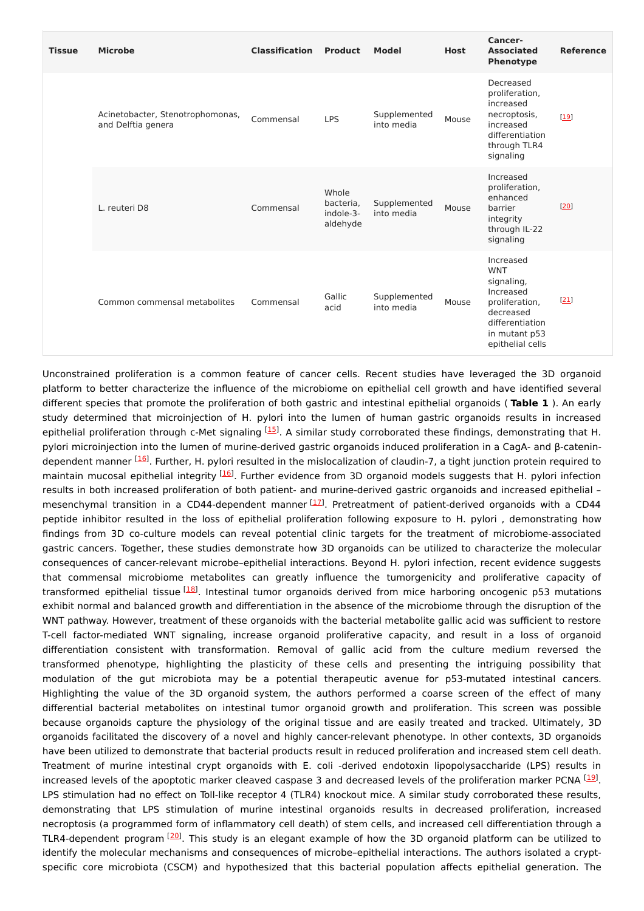| <b>Tissue</b> | <b>Microbe</b>                                         | <b>Classification</b> | <b>Product</b>                              | <b>Model</b>               | <b>Host</b> | Cancer-<br><b>Associated</b><br>Phenotype                                                                                                 | <b>Reference</b> |
|---------------|--------------------------------------------------------|-----------------------|---------------------------------------------|----------------------------|-------------|-------------------------------------------------------------------------------------------------------------------------------------------|------------------|
|               | Acinetobacter, Stenotrophomonas,<br>and Delftia genera | Commensal             | <b>LPS</b>                                  | Supplemented<br>into media | Mouse       | Decreased<br>proliferation,<br>increased<br>necroptosis,<br>increased<br>differentiation<br>through TLR4<br>signaling                     | $[19]$           |
|               | L. reuteri D8                                          | Commensal             | Whole<br>bacteria,<br>indole-3-<br>aldehyde | Supplemented<br>into media | Mouse       | Increased<br>proliferation,<br>enhanced<br>barrier<br>integrity<br>through IL-22<br>signaling                                             | [20]             |
|               | Common commensal metabolites                           | Commensal             | Gallic<br>acid                              | Supplemented<br>into media | Mouse       | Increased<br><b>WNT</b><br>signaling,<br>Increased<br>proliferation,<br>decreased<br>differentiation<br>in mutant p53<br>epithelial cells | $[21]$           |

Unconstrained proliferation is a common feature of cancer cells. Recent studies have leveraged the 3D organoid platform to better characterize the influence of the microbiome on epithelial cell growth and have identified several different species that promote the proliferation of both gastric and intestinal epithelial organoids ( **Table 1** ). An early study determined that microinjection of H. pylori into the lumen of human gastric organoids results in increased epithelial proliferation through c-Met signaling  $^{[15]}$  $^{[15]}$  $^{[15]}$ . A similar study corroborated these findings, demonstrating that H. pylori microinjection into the lumen of murine-derived gastric organoids induced proliferation in a CagA- and β-catenin-dependent manner <sup>[[16](#page-5-15)]</sup>. Further, H. pylori resulted in the mislocalization of claudin-7, a tight junction protein required to maintain mucosal epithelial integrity <sup>[\[16](#page-5-15)]</sup>. Further evidence from 3D organoid models suggests that H. pylori infection results in both increased proliferation of both patient- and murine-derived gastric organoids and increased epithelial – mesenchymal transition in a CD44-dependent manner [[17](#page-5-16)]. Pretreatment of patient-derived organoids with a CD44 peptide inhibitor resulted in the loss of epithelial proliferation following exposure to H. pylori , demonstrating how findings from 3D co-culture models can reveal potential clinic targets for the treatment of microbiome-associated gastric cancers. Together, these studies demonstrate how 3D organoids can be utilized to characterize the molecular consequences of cancer-relevant microbe–epithelial interactions. Beyond H. pylori infection, recent evidence suggests that commensal microbiome metabolites can greatly influence the tumorgenicity and proliferative capacity of transformed epithelial tissue <sup>[[18](#page-6-0)]</sup>. Intestinal tumor organoids derived from mice harboring oncogenic p53 mutations exhibit normal and balanced growth and differentiation in the absence of the microbiome through the disruption of the WNT pathway. However, treatment of these organoids with the bacterial metabolite gallic acid was sufficient to restore T-cell factor-mediated WNT signaling, increase organoid proliferative capacity, and result in a loss of organoid differentiation consistent with transformation. Removal of gallic acid from the culture medium reversed the transformed phenotype, highlighting the plasticity of these cells and presenting the intriguing possibility that modulation of the gut microbiota may be a potential therapeutic avenue for p53-mutated intestinal cancers. Highlighting the value of the 3D organoid system, the authors performed a coarse screen of the effect of many differential bacterial metabolites on intestinal tumor organoid growth and proliferation. This screen was possible because organoids capture the physiology of the original tissue and are easily treated and tracked. Ultimately, 3D organoids facilitated the discovery of a novel and highly cancer-relevant phenotype. In other contexts, 3D organoids have been utilized to demonstrate that bacterial products result in reduced proliferation and increased stem cell death. Treatment of murine intestinal crypt organoids with E. coli -derived endotoxin lipopolysaccharide (LPS) results in increased levels of the apoptotic marker cleaved caspase 3 and decreased levels of the proliferation marker PCNA <sup>[[19](#page-6-1)]</sup>. LPS stimulation had no effect on Toll-like receptor 4 (TLR4) knockout mice. A similar study corroborated these results, demonstrating that LPS stimulation of murine intestinal organoids results in decreased proliferation, increased necroptosis (a programmed form of inflammatory cell death) of stem cells, and increased cell differentiation through a TLR4-dependent program  $[20]$  $[20]$  $[20]$ . This study is an elegant example of how the 3D organoid platform can be utilized to identify the molecular mechanisms and consequences of microbe–epithelial interactions. The authors isolated a cryptspecific core microbiota (CSCM) and hypothesized that this bacterial population affects epithelial generation. The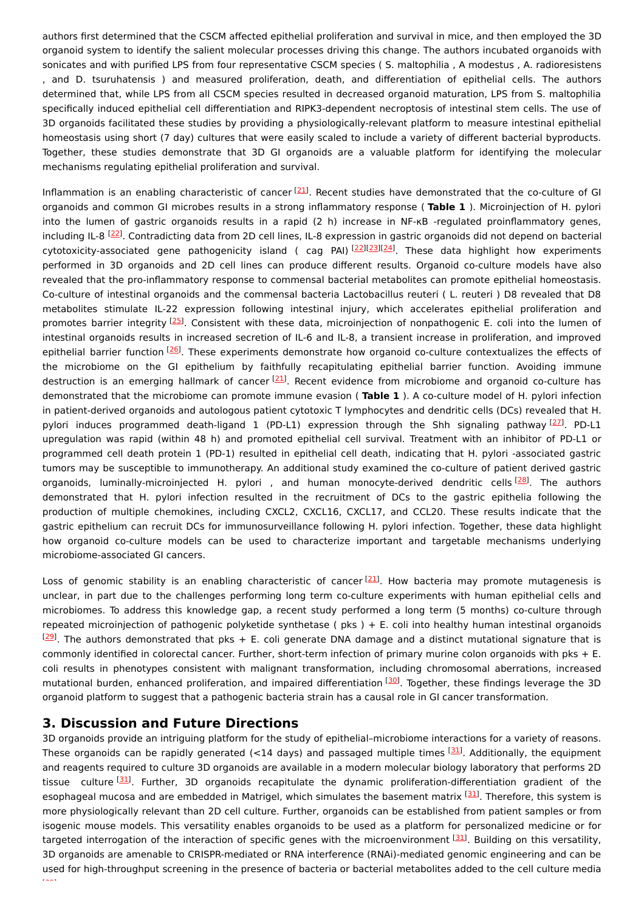authors first determined that the CSCM affected epithelial proliferation and survival in mice, and then employed the 3D organoid system to identify the salient molecular processes driving this change. The authors incubated organoids with sonicates and with purified LPS from four representative CSCM species ( S. maltophilia , A modestus , A. radioresistens , and D. tsuruhatensis ) and measured proliferation, death, and differentiation of epithelial cells. The authors determined that, while LPS from all CSCM species resulted in decreased organoid maturation, LPS from S. maltophilia specifically induced epithelial cell differentiation and RIPK3-dependent necroptosis of intestinal stem cells. The use of 3D organoids facilitated these studies by providing a physiologically-relevant platform to measure intestinal epithelial homeostasis using short (7 day) cultures that were easily scaled to include a variety of different bacterial byproducts. Together, these studies demonstrate that 3D GI organoids are a valuable platform for identifying the molecular mechanisms regulating epithelial proliferation and survival.

Inflammation is an enabling characteristic of cancer [\[21](#page-6-3)]. Recent studies have demonstrated that the co-culture of GI organoids and common GI microbes results in a strong inflammatory response ( **Table 1** ). Microinjection of H. pylori into the lumen of gastric organoids results in a rapid (2 h) increase in NF-KB -regulated proinflammatory genes, including IL-8  $^{[22]}$  $^{[22]}$  $^{[22]}$ . Contradicting data from 2D cell lines, IL-8 expression in gastric organoids did not depend on bacterial cytotoxicity-associated gene pathogenicity island ( cag PAI)<sup>[\[22](#page-6-4)][\[23](#page-6-5)][\[24](#page-6-6)]</sup>. These data highlight how experiments performed in 3D organoids and 2D cell lines can produce different results. Organoid co-culture models have also revealed that the pro-inflammatory response to commensal bacterial metabolites can promote epithelial homeostasis. Co-culture of intestinal organoids and the commensal bacteria Lactobacillus reuteri ( L. reuteri ) D8 revealed that D8 metabolites stimulate IL-22 expression following intestinal injury, which accelerates epithelial proliferation and promotes barrier integrity [\[25](#page-6-7)]. Consistent with these data, microinjection of nonpathogenic E. coli into the lumen of intestinal organoids results in increased secretion of IL-6 and IL-8, a transient increase in proliferation, and improved epithelial barrier function <sup>[\[26](#page-6-8)]</sup>. These experiments demonstrate how organoid co-culture contextualizes the effects of the microbiome on the GI epithelium by faithfully recapitulating epithelial barrier function. Avoiding immune destruction is an emerging hallmark of cancer [\[21](#page-6-3)]. Recent evidence from microbiome and organoid co-culture has demonstrated that the microbiome can promote immune evasion ( **Table 1** ). A co-culture model of H. pylori infection in patient-derived organoids and autologous patient cytotoxic T lymphocytes and dendritic cells (DCs) revealed that H. pylori induces programmed death-ligand 1 (PD-L1) expression through the Shh signaling pathway  $^{[27]}$  $^{[27]}$  $^{[27]}$ . PD-L1 upregulation was rapid (within 48 h) and promoted epithelial cell survival. Treatment with an inhibitor of PD-L1 or programmed cell death protein 1 (PD-1) resulted in epithelial cell death, indicating that H. pylori -associated gastric tumors may be susceptible to immunotherapy. An additional study examined the co-culture of patient derived gastric organoids, luminally-microinjected H. pylori , and human monocyte-derived dendritic cells <sup>[\[28](#page-6-10)]</sup>. The authors demonstrated that H. pylori infection resulted in the recruitment of DCs to the gastric epithelia following the production of multiple chemokines, including CXCL2, CXCL16, CXCL17, and CCL20. These results indicate that the gastric epithelium can recruit DCs for immunosurveillance following H. pylori infection. Together, these data highlight how organoid co-culture models can be used to characterize important and targetable mechanisms underlying microbiome-associated GI cancers.

Loss of genomic stability is an enabling characteristic of cancer<sup>[[21](#page-6-3)]</sup>. How bacteria may promote mutagenesis is unclear, in part due to the challenges performing long term co-culture experiments with human epithelial cells and microbiomes. To address this knowledge gap, a recent study performed a long term (5 months) co-culture through repeated microinjection of pathogenic polyketide synthetase ( pks ) + E. coli into healthy human intestinal organoids  $[29]$  $[29]$ . The authors demonstrated that pks + E. coli generate DNA damage and a distinct mutational signature that is commonly identified in colorectal cancer. Further, short-term infection of primary murine colon organoids with pks + E. coli results in phenotypes consistent with malignant transformation, including chromosomal aberrations, increased mutational burden, enhanced proliferation, and impaired differentiation [\[30](#page-6-12)]. Together, these findings leverage the 3D organoid platform to suggest that a pathogenic bacteria strain has a causal role in GI cancer transformation.

#### **3. Discussion and Future Directions**

3D organoids provide an intriguing platform for the study of epithelial–microbiome interactions for a variety of reasons. These organoids can be rapidly generated (<14 days) and passaged multiple times [\[31](#page-6-13)]. Additionally, the equipment and reagents required to culture 3D organoids are available in a modern molecular biology laboratory that performs 2D tissue culture<sup>[\[31](#page-6-13)]</sup>. Further, 3D organoids recapitulate the dynamic proliferation-differentiation gradient of the esophageal mucosa and are embedded in Matrigel, which simulates the basement matrix [\[31](#page-6-13)]. Therefore, this system is more physiologically relevant than 2D cell culture. Further, organoids can be established from patient samples or from isogenic mouse models. This versatility enables organoids to be used as a platform for personalized medicine or for targeted interrogation of the interaction of specific genes with the microenvironment  $^{[31]}$  $^{[31]}$  $^{[31]}$ . Building on this versatility, 3D organoids are amenable to CRISPR-mediated or RNA interference (RNAi)-mediated genomic engineering and can be used for high-throughput screening in the presence of bacteria or bacterial metabolites added to the cell culture media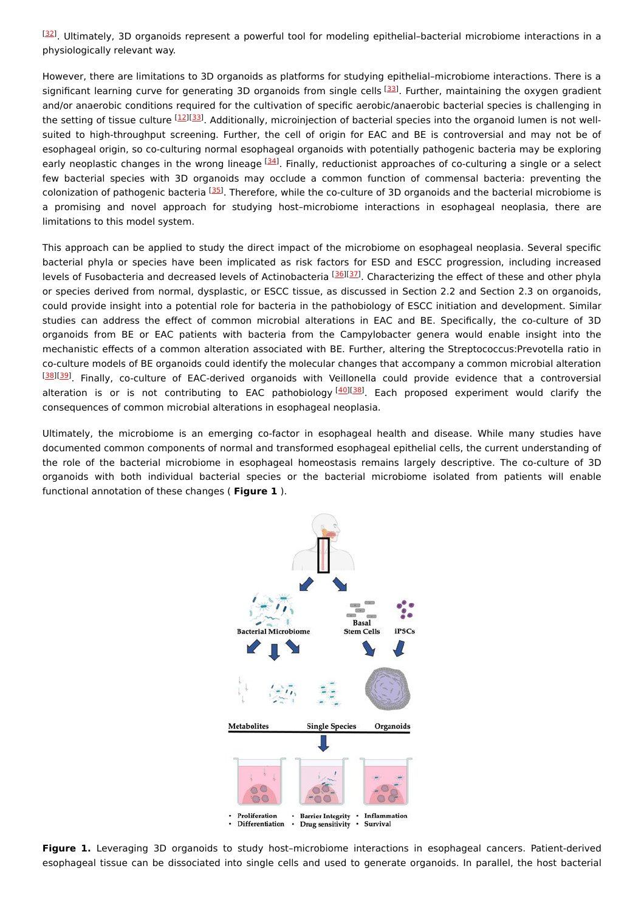[\[32](#page-6-14)]. Ultimately, 3D organoids represent a powerful tool for modeling epithelial–bacterial microbiome interactions in a physiologically relevant way.

However, there are limitations to 3D organoids as platforms for studying epithelial–microbiome interactions. There is a significant learning curve for generating 3D organoids from single cells [\[33](#page-6-15)]. Further, maintaining the oxygen gradient and/or anaerobic conditions required for the cultivation of specific aerobic/anaerobic bacterial species is challenging in the setting of tissue culture <sup>[[12](#page-5-11)][\[33](#page-6-15)]</sup>. Additionally, microinjection of bacterial species into the organoid lumen is not wellsuited to high-throughput screening. Further, the cell of origin for EAC and BE is controversial and may not be of esophageal origin, so co-culturing normal esophageal organoids with potentially pathogenic bacteria may be exploring early neoplastic changes in the wrong lineage <sup>[\[34](#page-6-16)]</sup>. Finally, reductionist approaches of co-culturing a single or a select few bacterial species with 3D organoids may occlude a common function of commensal bacteria: preventing the colonization of pathogenic bacteria <sup>[[35](#page-6-17)]</sup>. Therefore, while the co-culture of 3D organoids and the bacterial microbiome is a promising and novel approach for studying host–microbiome interactions in esophageal neoplasia, there are limitations to this model system.

This approach can be applied to study the direct impact of the microbiome on esophageal neoplasia. Several specific bacterial phyla or species have been implicated as risk factors for ESD and ESCC progression, including increased levels of Fusobacteria and decreased levels of Actinobacteria <sup>[\[36](#page-6-18)][\[37](#page-6-19)]</sup>. Characterizing the effect of these and other phyla or species derived from normal, dysplastic, or ESCC tissue, as discussed in Section 2.2 and Section 2.3 on organoids, could provide insight into a potential role for bacteria in the pathobiology of ESCC initiation and development. Similar studies can address the effect of common microbial alterations in EAC and BE. Specifically, the co-culture of 3D organoids from BE or EAC patients with bacteria from the Campylobacter genera would enable insight into the mechanistic effects of a common alteration associated with BE. Further, altering the Streptococcus:Prevotella ratio in co-culture models of BE organoids could identify the molecular changes that accompany a common microbial alteration [\[38](#page-6-20)][\[39](#page-6-21)]. Finally, co-culture of EAC-derived organoids with Veillonella could provide evidence that a controversial alteration is or is not contributing to EAC pathobiology <sup>[\[40](#page-6-22)][[38](#page-6-20)]</sup>. Each proposed experiment would clarify the consequences of common microbial alterations in esophageal neoplasia.

Ultimately, the microbiome is an emerging co-factor in esophageal health and disease. While many studies have documented common components of normal and transformed esophageal epithelial cells, the current understanding of the role of the bacterial microbiome in esophageal homeostasis remains largely descriptive. The co-culture of 3D organoids with both individual bacterial species or the bacterial microbiome isolated from patients will enable functional annotation of these changes ( **Figure 1** ).



**Figure 1.** Leveraging 3D organoids to study host–microbiome interactions in esophageal cancers. Patient-derived esophageal tissue can be dissociated into single cells and used to generate organoids. In parallel, the host bacterial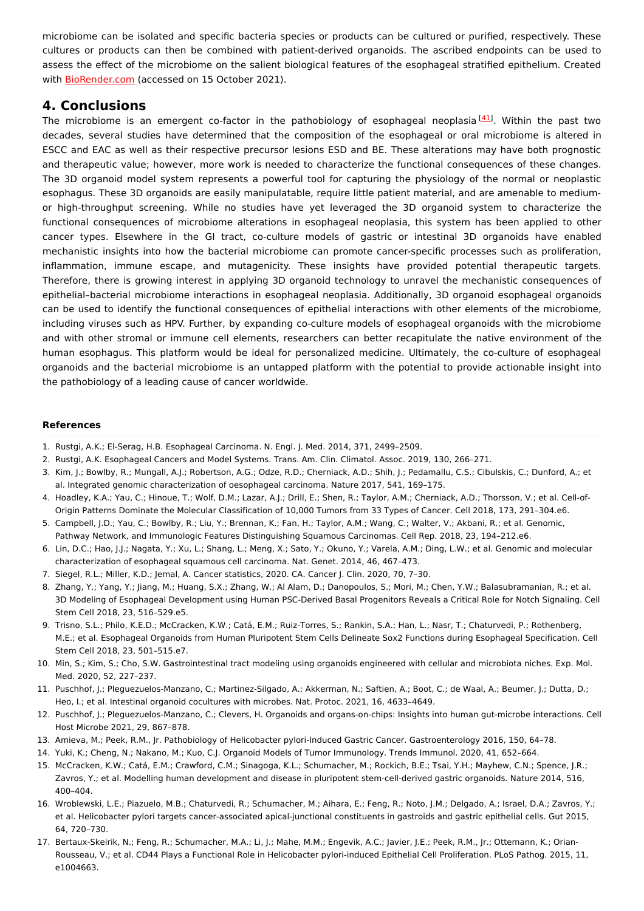microbiome can be isolated and specific bacteria species or products can be cultured or purified, respectively. These cultures or products can then be combined with patient-derived organoids. The ascribed endpoints can be used to assess the effect of the microbiome on the salient biological features of the esophageal stratified epithelium. Created with [BioRender.com](http://biorender.com/) (accessed on 15 October 2021).

### **4. Conclusions**

The microbiome is an emergent co-factor in the pathobiology of esophageal neoplasia<sup>[[41](#page-6-23)]</sup>. Within the past two decades, several studies have determined that the composition of the esophageal or oral microbiome is altered in ESCC and EAC as well as their respective precursor lesions ESD and BE. These alterations may have both prognostic and therapeutic value; however, more work is needed to characterize the functional consequences of these changes. The 3D organoid model system represents a powerful tool for capturing the physiology of the normal or neoplastic esophagus. These 3D organoids are easily manipulatable, require little patient material, and are amenable to mediumor high-throughput screening. While no studies have yet leveraged the 3D organoid system to characterize the functional consequences of microbiome alterations in esophageal neoplasia, this system has been applied to other cancer types. Elsewhere in the GI tract, co-culture models of gastric or intestinal 3D organoids have enabled mechanistic insights into how the bacterial microbiome can promote cancer-specific processes such as proliferation, inflammation, immune escape, and mutagenicity. These insights have provided potential therapeutic targets. Therefore, there is growing interest in applying 3D organoid technology to unravel the mechanistic consequences of epithelial–bacterial microbiome interactions in esophageal neoplasia. Additionally, 3D organoid esophageal organoids can be used to identify the functional consequences of epithelial interactions with other elements of the microbiome, including viruses such as HPV. Further, by expanding co-culture models of esophageal organoids with the microbiome and with other stromal or immune cell elements, researchers can better recapitulate the native environment of the human esophagus. This platform would be ideal for personalized medicine. Ultimately, the co-culture of esophageal organoids and the bacterial microbiome is an untapped platform with the potential to provide actionable insight into the pathobiology of a leading cause of cancer worldwide.

#### **References**

- <span id="page-5-0"></span>1. Rustgi, A.K.; El-Serag, H.B. Esophageal Carcinoma. N. Engl. J. Med. 2014, 371, 2499–2509.
- <span id="page-5-1"></span>2. Rustgi, A.K. Esophageal Cancers and Model Systems. Trans. Am. Clin. Climatol. Assoc. 2019, 130, 266–271.
- <span id="page-5-2"></span>3. Kim, J.; Bowlby, R.; Mungall, A.J.; Robertson, A.G.; Odze, R.D.; Cherniack, A.D.; Shih, J.; Pedamallu, C.S.; Cibulskis, C.; Dunford, A.; et al. Integrated genomic characterization of oesophageal carcinoma. Nature 2017, 541, 169–175.
- <span id="page-5-3"></span>4. Hoadley, K.A.; Yau, C.; Hinoue, T.; Wolf, D.M.; Lazar, A.J.; Drill, E.; Shen, R.; Taylor, A.M.; Cherniack, A.D.; Thorsson, V.; et al. Cell-of-Origin Patterns Dominate the Molecular Classification of 10,000 Tumors from 33 Types of Cancer. Cell 2018, 173, 291–304.e6.
- <span id="page-5-4"></span>5. Campbell, J.D.; Yau, C.; Bowlby, R.; Liu, Y.; Brennan, K.; Fan, H.; Taylor, A.M.; Wang, C.; Walter, V.; Akbani, R.; et al. Genomic, Pathway Network, and Immunologic Features Distinguishing Squamous Carcinomas. Cell Rep. 2018, 23, 194–212.e6.
- <span id="page-5-5"></span>6. Lin, D.C.; Hao, J.J.; Nagata, Y.; Xu, L.; Shang, L.; Meng, X.; Sato, Y.; Okuno, Y.; Varela, A.M.; Ding, L.W.; et al. Genomic and molecular characterization of esophageal squamous cell carcinoma. Nat. Genet. 2014, 46, 467–473.
- <span id="page-5-6"></span>7. Siegel, R.L.; Miller, K.D.; Jemal, A. Cancer statistics, 2020. CA. Cancer J. Clin. 2020, 70, 7–30.
- <span id="page-5-7"></span>8. Zhang, Y.; Yang, Y.; Jiang, M.; Huang, S.X.; Zhang, W.; Al Alam, D.; Danopoulos, S.; Mori, M.; Chen, Y.W.; Balasubramanian, R.; et al. 3D Modeling of Esophageal Development using Human PSC-Derived Basal Progenitors Reveals a Critical Role for Notch Signaling. Cell Stem Cell 2018, 23, 516–529.e5.
- <span id="page-5-8"></span>9. Trisno, S.L.; Philo, K.E.D.; McCracken, K.W.; Catá, E.M.; Ruiz-Torres, S.; Rankin, S.A.; Han, L.; Nasr, T.; Chaturvedi, P.; Rothenberg, M.E.; et al. Esophageal Organoids from Human Pluripotent Stem Cells Delineate Sox2 Functions during Esophageal Specification. Cell Stem Cell 2018, 23, 501–515.e7.
- <span id="page-5-9"></span>10. Min, S.; Kim, S.; Cho, S.W. Gastrointestinal tract modeling using organoids engineered with cellular and microbiota niches. Exp. Mol. Med. 2020, 52, 227–237.
- <span id="page-5-10"></span>11. Puschhof, J.; Pleguezuelos-Manzano, C.; Martinez-Silgado, A.; Akkerman, N.; Saftien, A.; Boot, C.; de Waal, A.; Beumer, J.; Dutta, D.; Heo, I.; et al. Intestinal organoid cocultures with microbes. Nat. Protoc. 2021, 16, 4633–4649.
- <span id="page-5-11"></span>12. Puschhof, J.; Pleguezuelos-Manzano, C.; Clevers, H. Organoids and organs-on-chips: Insights into human gut-microbe interactions. Cell Host Microbe 2021, 29, 867–878.
- <span id="page-5-12"></span>13. Amieva, M.; Peek, R.M., Jr. Pathobiology of Helicobacter pylori-Induced Gastric Cancer. Gastroenterology 2016, 150, 64–78.
- <span id="page-5-13"></span>14. Yuki, K.; Cheng, N.; Nakano, M.; Kuo, C.J. Organoid Models of Tumor Immunology. Trends Immunol. 2020, 41, 652–664.
- <span id="page-5-14"></span>15. McCracken, K.W.; Catá, E.M.; Crawford, C.M.; Sinagoga, K.L.; Schumacher, M.; Rockich, B.E.; Tsai, Y.H.; Mayhew, C.N.; Spence, J.R.; Zavros, Y.; et al. Modelling human development and disease in pluripotent stem-cell-derived gastric organoids. Nature 2014, 516, 400–404.
- <span id="page-5-15"></span>16. Wroblewski, L.E.; Piazuelo, M.B.; Chaturvedi, R.; Schumacher, M.; Aihara, E.; Feng, R.; Noto, J.M.; Delgado, A.; Israel, D.A.; Zavros, Y.; et al. Helicobacter pylori targets cancer-associated apical-junctional constituents in gastroids and gastric epithelial cells. Gut 2015, 64, 720–730.
- <span id="page-5-16"></span>17. Bertaux-Skeirik, N.; Feng, R.; Schumacher, M.A.; Li, J.; Mahe, M.M.; Engevik, A.C.; Javier, J.E.; Peek, R.M., Jr.; Ottemann, K.; Orian-Rousseau, V.; et al. CD44 Plays a Functional Role in Helicobacter pylori-induced Epithelial Cell Proliferation. PLoS Pathog. 2015, 11, e1004663.